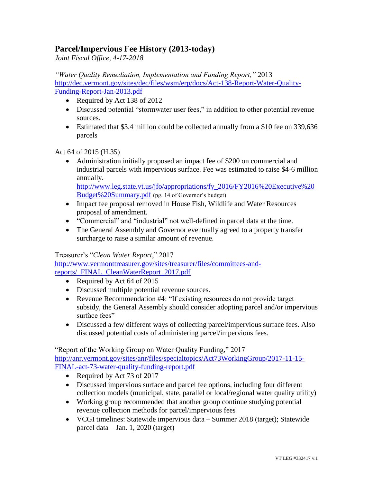## **Parcel/Impervious Fee History (2013-today)**

*Joint Fiscal Office, 4-17-2018*

*"Water Quality Remediation, Implementation and Funding Report,"* 2013 [http://dec.vermont.gov/sites/dec/files/wsm/erp/docs/Act-138-Report-Water-Quality-](http://dec.vermont.gov/sites/dec/files/wsm/erp/docs/Act-138-Report-Water-Quality-Funding-Report-Jan-2013.pdf)[Funding-Report-Jan-2013.pdf](http://dec.vermont.gov/sites/dec/files/wsm/erp/docs/Act-138-Report-Water-Quality-Funding-Report-Jan-2013.pdf)

- Required by Act 138 of 2012
- Discussed potential "stormwater user fees," in addition to other potential revenue sources.
- Estimated that \$3.4 million could be collected annually from a \$10 fee on 339,636 parcels

Act 64 of 2015 (H.35)

 Administration initially proposed an impact fee of \$200 on commercial and industrial parcels with impervious surface. Fee was estimated to raise \$4-6 million annually. [http://www.leg.state.vt.us/jfo/appropriations/fy\\_2016/FY2016%20Executive%20](http://www.leg.state.vt.us/jfo/appropriations/fy_2016/FY2016%20Executive%20Budget%20Summary.pdf)

```
Budget%20Summary.pdf (pg. 14 of Governor's budget)
```
- Impact fee proposal removed in House Fish, Wildlife and Water Resources proposal of amendment.
- "Commercial" and "industrial" not well-defined in parcel data at the time.
- The General Assembly and Governor eventually agreed to a property transfer surcharge to raise a similar amount of revenue.

## Treasurer's "*Clean Water Report*," 2017

[http://www.vermonttreasurer.gov/sites/treasurer/files/committees-and](http://www.vermonttreasurer.gov/sites/treasurer/files/committees-and-reports/_FINAL_CleanWaterReport_2017.pdf)[reports/\\_FINAL\\_CleanWaterReport\\_2017.pdf](http://www.vermonttreasurer.gov/sites/treasurer/files/committees-and-reports/_FINAL_CleanWaterReport_2017.pdf)

- Required by Act 64 of 2015
- Discussed multiple potential revenue sources.
- Revenue Recommendation #4: "If existing resources do not provide target subsidy, the General Assembly should consider adopting parcel and/or impervious surface fees"
- Discussed a few different ways of collecting parcel/impervious surface fees. Also discussed potential costs of administering parcel/impervious fees.

"Report of the Working Group on Water Quality Funding," 2017 [http://anr.vermont.gov/sites/anr/files/specialtopics/Act73WorkingGroup/2017-11-15-](http://anr.vermont.gov/sites/anr/files/specialtopics/Act73WorkingGroup/2017-11-15-FINAL-act-73-water-quality-funding-report.pdf) [FINAL-act-73-water-quality-funding-report.pdf](http://anr.vermont.gov/sites/anr/files/specialtopics/Act73WorkingGroup/2017-11-15-FINAL-act-73-water-quality-funding-report.pdf)

- Required by Act 73 of 2017
- Discussed impervious surface and parcel fee options, including four different collection models (municipal, state, parallel or local/regional water quality utility)
- Working group recommended that another group continue studying potential revenue collection methods for parcel/impervious fees
- VCGI timelines: Statewide impervious data Summer 2018 (target); Statewide parcel data – Jan. 1, 2020 (target)